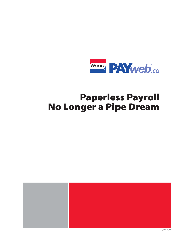

## **Paperless Payroll** No Longer a Pipe Dream